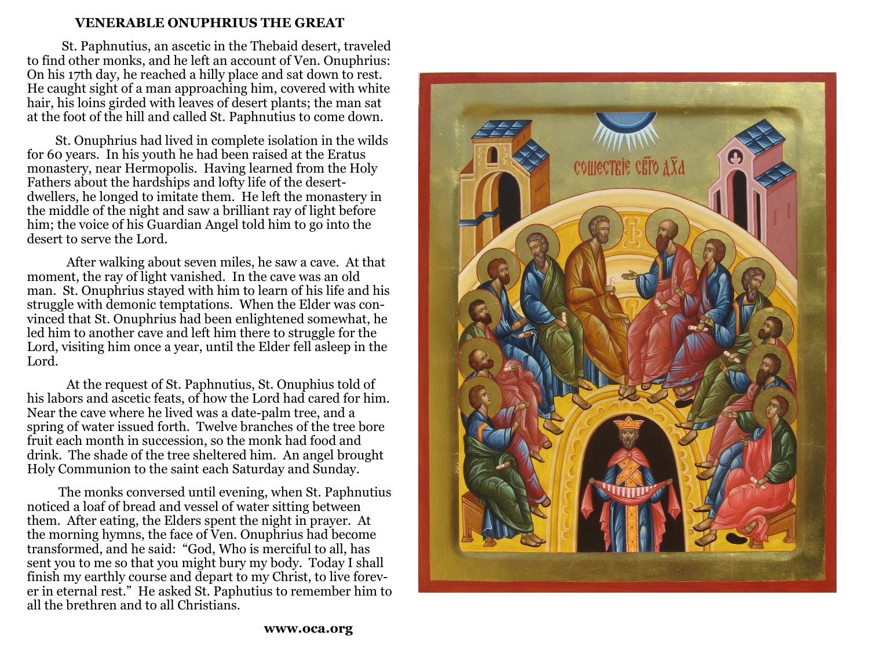#### **VENERABLE ONUPHRIUS THE GREAT**

 St. Paphnutius, an ascetic in the Thebaid desert, traveled to find other monks, and he left an account of Ven. Onuphrius: On his 17th day, he reached a hilly place and sat down to rest. He caught sight of a man approaching him, covered with white hair, his loins girded with leaves of desert plants; the man sat at the foot of the hill and called St. Paphnutius to come down.

 St. Onuphrius had lived in complete isolation in the wilds for 60 years. In his youth he had been raised at the Eratus monastery, near Hermopolis. Having learned from the HolyFathers about the hardships and lofty life of the desertdwellers, he longed to imitate them. He left the monastery in the middle of the night and saw a brilliant ray of light before him; the voice of his Guardian Angel told him to go into the desert to serve the Lord.

 After walking about seven miles, he saw a cave. At that moment, the ray of light vanished. In the cave was an old man. St. Onuphrius stayed with him to learn of his life and his struggle with demonic temptations. When the Elder was convinced that St. Onuphrius had been enlightened somewhat, he led him to another cave and left him there to struggle for the Lord, visiting him once a year, until the Elder fell asleep in the Lord.

 At the request of St. Paphnutius, St. Onuphius told of his labors and ascetic feats, of how the Lord had cared for him. Near the cave where he lived was a date-palm tree, and a spring of water issued forth. Twelve branches of the tree bore fruit each month in succession, so the monk had food and drink. The shade of the tree sheltered him. An angel brought Holy Communion to the saint each Saturday and Sunday.

 The monks conversed until evening, when St. Paphnutius noticed a loaf of bread and vessel of water sitting between them. After eating, the Elders spent the night in prayer. At the morning hymns, the face of Ven. Onuphrius had become transformed, and he said: "God, Who is merciful to all, has sent you to me so that you might bury my body. Today I shall finish my earthly course and depart to my Christ, to live forever in eternal rest." He asked St. Paphutius to remember him to all the brethren and to all Christians.

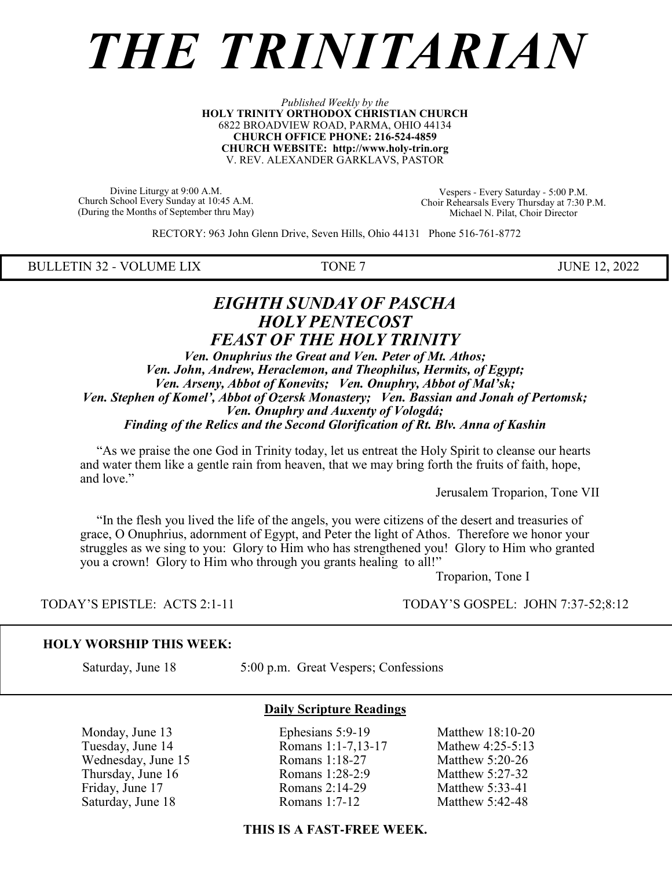# *THE TRINITARIAN*

#### *Published Weekly by the* **HOLY TRINITY ORTHODOX CHRISTIAN CHURCH** 6822 BROADVIEW ROAD, PARMA, OHIO 44134 **CHURCH OFFICE PHONE: 216-524-4859 CHURCH WEBSITE: http://www.holy-trin.org** V. REV. ALEXANDER GARKLAVS, PASTOR

Divine Liturgy at 9:00 A.M. Church School Every Sunday at 10:45 A.M. (During the Months of September thru May)

Vespers - Every Saturday - 5:00 P.M. Choir Rehearsals Every Thursday at 7:30 P.M. Michael N. Pilat, Choir Director

RECTORY: 963 John Glenn Drive, Seven Hills, Ohio 44131 Phone 516-761-8772

BULLETIN 32 - VOLUME LIX TONE 7 JUNE 12, 2022

### *EIGHTH SUNDAY OF PASCHA HOLY PENTECOST FEAST OF THE HOLY TRINITY*

*Ven. Onuphrius the Great and Ven. Peter of Mt. Athos; Ven. John, Andrew, Heraclemon, and Theophilus, Hermits, of Egypt; Ven. Arseny, Abbot of Konevits; Ven. Onuphry, Abbot of Mal'sk; Ven. Stephen of Komel', Abbot of Ozersk Monastery; Ven. Bassian and Jonah of Pertomsk; Ven. Onuphry and Auxenty of Vologdá; Finding of the Relics and the Second Glorification of Rt. Blv. Anna of Kashin*

 "As we praise the one God in Trinity today, let us entreat the Holy Spirit to cleanse our hearts and water them like a gentle rain from heaven, that we may bring forth the fruits of faith, hope, and love."

Jerusalem Troparion, Tone VII

 "In the flesh you lived the life of the angels, you were citizens of the desert and treasuries of grace, O Onuphrius, adornment of Egypt, and Peter the light of Athos. Therefore we honor your struggles as we sing to you: Glory to Him who has strengthened you! Glory to Him who granted you a crown! Glory to Him who through you grants healing to all!"

Troparion, Tone I

TODAY'S EPISTLE: ACTS 2:1-11 TODAY'S GOSPEL: JOHN 7:37-52;8:12

#### **HOLY WORSHIP THIS WEEK:**

Saturday, June 18 5:00 p.m. Great Vespers; Confessions

 Monday, June 13 Ephesians 5:9-19 Matthew 18:10-20 Tuesday, June 14 Romans 1:1-7,13-17 Mathew 4:25-5:13 Wednesday, June 15 Romans 1:18-27 Matthew 5:20-26 Thursday, June 16 Romans 1:28-2:9 Matthew 5:27-32 Friday, June 17 **Romans 2:14-29** Matthew 5:33-41 Saturday, June 18 Romans 1:7-12 Matthew 5:42-48

**Daily Scripture Readings**

#### **THIS IS A FAST-FREE WEEK.**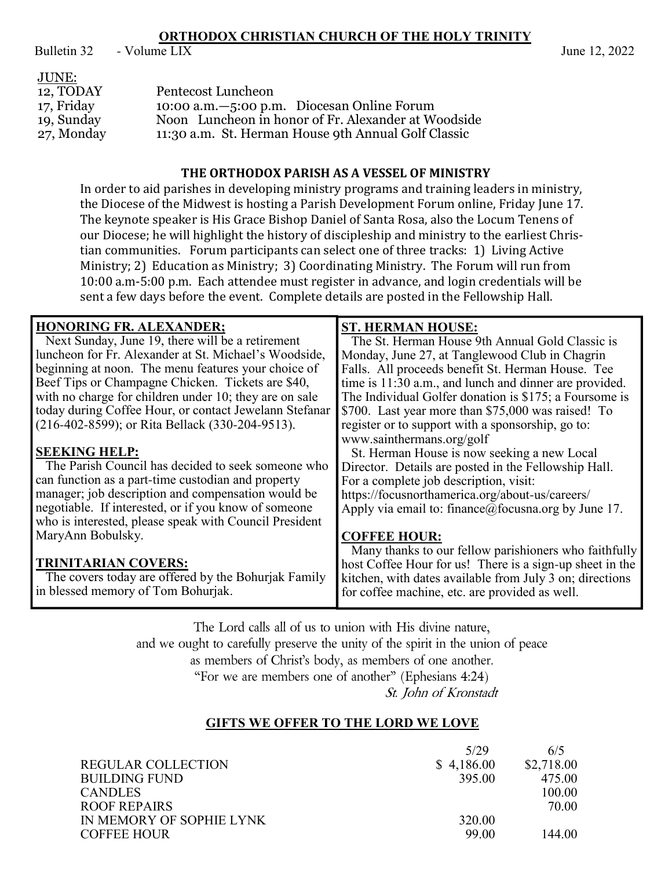## **ORTHODOX CHRISTIAN CHURCH OF THE HOLY TRINITY**<br>- Volume LIX

Bulletin 32 - Volume LIX June 12, 2022

| JUNE:      |                                                     |
|------------|-----------------------------------------------------|
| 12, TODAY  | Pentecost Luncheon                                  |
| 17, Friday | 10:00 a.m. -5:00 p.m. Diocesan Online Forum         |
| 19, Sunday | Noon Luncheon in honor of Fr. Alexander at Woodside |
| 27, Monday | 11:30 a.m. St. Herman House 9th Annual Golf Classic |

#### **THE ORTHODOX PARISH AS A VESSEL OF MINISTRY**

In order to aid parishes in developing ministry programs and training leaders in ministry, the Diocese of the Midwest is hosting a Parish Development Forum online, Friday June 17. The keynote speaker is His Grace Bishop Daniel of Santa Rosa, also the Locum Tenens of our Diocese; he will highlight the history of discipleship and ministry to the earliest Christian communities. Forum participants can select one of three tracks: 1) Living Active Ministry; 2) Education as Ministry; 3) Coordinating Ministry. The Forum will run from 10:00 a.m-5:00 p.m. Each attendee must register in advance, and login credentials will be sent a few days before the event. Complete details are posted in the Fellowship Hall.

| <b>HONORING FR. ALEXANDER;</b>                         | <b>ST. HERMAN HOUSE:</b>                                 |  |
|--------------------------------------------------------|----------------------------------------------------------|--|
| Next Sunday, June 19, there will be a retirement       | The St. Herman House 9th Annual Gold Classic is          |  |
| luncheon for Fr. Alexander at St. Michael's Woodside,  | Monday, June 27, at Tanglewood Club in Chagrin           |  |
| beginning at noon. The menu features your choice of    | Falls. All proceeds benefit St. Herman House. Tee        |  |
| Beef Tips or Champagne Chicken. Tickets are \$40,      | time is 11:30 a.m., and lunch and dinner are provided.   |  |
| with no charge for children under 10; they are on sale | The Individual Golfer donation is \$175; a Foursome is   |  |
| today during Coffee Hour, or contact Jewelann Stefanar | \$700. Last year more than \$75,000 was raised! To       |  |
| (216-402-8599); or Rita Bellack (330-204-9513).        | register or to support with a sponsorship, go to:        |  |
|                                                        | www.sainthermans.org/golf                                |  |
| <b>SEEKING HELP:</b>                                   | St. Herman House is now seeking a new Local              |  |
| The Parish Council has decided to seek someone who     | Director. Details are posted in the Fellowship Hall.     |  |
| can function as a part-time custodian and property     | For a complete job description, visit:                   |  |
| manager; job description and compensation would be     | https://focusnorthamerica.org/about-us/careers/          |  |
| negotiable. If interested, or if you know of someone   | Apply via email to: finance@focusna.org by June 17.      |  |
| who is interested, please speak with Council President |                                                          |  |
| MaryAnn Bobulsky.                                      | <b>COFFEE HOUR:</b>                                      |  |
|                                                        | Many thanks to our fellow parishioners who faithfully    |  |
| <b>TRINITARIAN COVERS:</b>                             | host Coffee Hour for us! There is a sign-up sheet in the |  |
| The covers today are offered by the Bohurjak Family    | kitchen, with dates available from July 3 on; directions |  |
| in blessed memory of Tom Bohurjak.                     | for coffee machine, etc. are provided as well.           |  |
|                                                        |                                                          |  |

The Lord calls all of us to union with His divine nature,

and we ought to carefully preserve the unity of the spirit in the union of peace

as members of Christ's body, as members of one another.

"For we are members one of another" (Ephesians  $4:24$ )

St. John of Kronstadt

#### **GIFTS WE OFFER TO THE LORD WE LOVE**

|                           | 5/29       | 6/5        |
|---------------------------|------------|------------|
| <b>REGULAR COLLECTION</b> | \$4,186.00 | \$2,718.00 |
| BUILDING FUND             | 395.00     | 475.00     |
| <b>CANDLES</b>            |            | 100.00     |
| ROOF REPAIRS              |            | 70.00      |
| IN MEMORY OF SOPHIE LYNK  | 320.00     |            |
| <b>COFFEE HOUR</b>        | 99.00      | 144.00     |